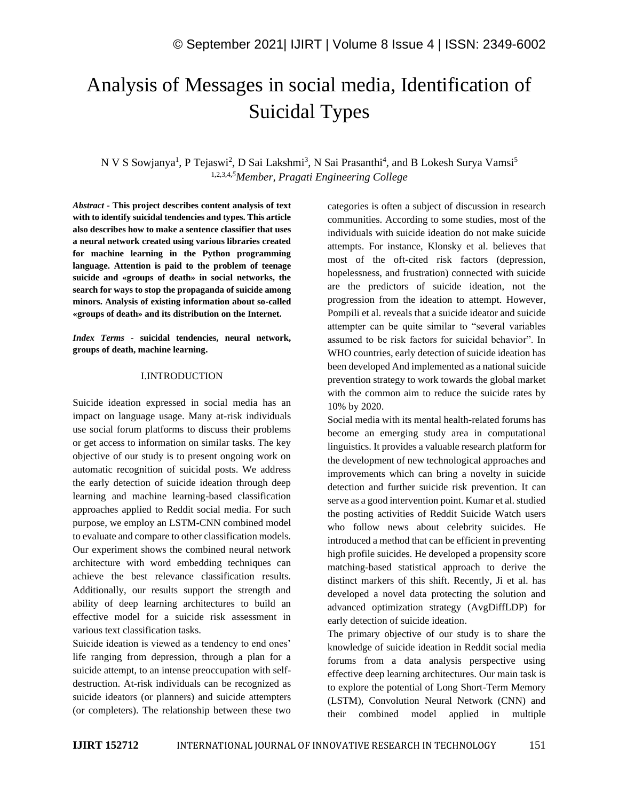# Analysis of Messages in social media, Identification of Suicidal Types

N V S Sowjanya<sup>1</sup>, P Tejaswi<sup>2</sup>, D Sai Lakshmi<sup>3</sup>, N Sai Prasanthi<sup>4</sup>, and B Lokesh Surya Vamsi<sup>5</sup> 1,2,3,4,*<sup>5</sup>Member, Pragati Engineering College*

*Abstract -* **This project describes content analysis of text with to identify suicidal tendencies and types. This article also describes how to make a sentence classifier that uses a neural network created using various libraries created for machine learning in the Python programming language. Attention is paid to the problem of teenage suicide and «groups of death» in social networks, the search for ways to stop the propaganda of suicide among minors. Analysis of existing information about so-called «groups of death» and its distribution on the Internet.**

*Index Terms -* **suicidal tendencies, neural network, groups of death, machine learning.**

#### I.INTRODUCTION

Suicide ideation expressed in social media has an impact on language usage. Many at-risk individuals use social forum platforms to discuss their problems or get access to information on similar tasks. The key objective of our study is to present ongoing work on automatic recognition of suicidal posts. We address the early detection of suicide ideation through deep learning and machine learning-based classification approaches applied to Reddit social media. For such purpose, we employ an LSTM-CNN combined model to evaluate and compare to other classification models. Our experiment shows the combined neural network architecture with word embedding techniques can achieve the best relevance classification results. Additionally, our results support the strength and ability of deep learning architectures to build an effective model for a suicide risk assessment in various text classification tasks.

Suicide ideation is viewed as a tendency to end ones' life ranging from depression, through a plan for a suicide attempt, to an intense preoccupation with selfdestruction. At-risk individuals can be recognized as suicide ideators (or planners) and suicide attempters (or completers). The relationship between these two categories is often a subject of discussion in research communities. According to some studies, most of the individuals with suicide ideation do not make suicide attempts. For instance, Klonsky et al. believes that most of the oft-cited risk factors (depression, hopelessness, and frustration) connected with suicide are the predictors of suicide ideation, not the progression from the ideation to attempt. However, Pompili et al. reveals that a suicide ideator and suicide attempter can be quite similar to "several variables assumed to be risk factors for suicidal behavior". In WHO countries, early detection of suicide ideation has been developed And implemented as a national suicide prevention strategy to work towards the global market with the common aim to reduce the suicide rates by 10% by 2020.

Social media with its mental health-related forums has become an emerging study area in computational linguistics. It provides a valuable research platform for the development of new technological approaches and improvements which can bring a novelty in suicide detection and further suicide risk prevention. It can serve as a good intervention point. Kumar et al. studied the posting activities of Reddit Suicide Watch users who follow news about celebrity suicides. He introduced a method that can be efficient in preventing high profile suicides. He developed a propensity score matching-based statistical approach to derive the distinct markers of this shift. Recently, Ji et al. has developed a novel data protecting the solution and advanced optimization strategy (AvgDiffLDP) for early detection of suicide ideation.

The primary objective of our study is to share the knowledge of suicide ideation in Reddit social media forums from a data analysis perspective using effective deep learning architectures. Our main task is to explore the potential of Long Short-Term Memory (LSTM), Convolution Neural Network (CNN) and their combined model applied in multiple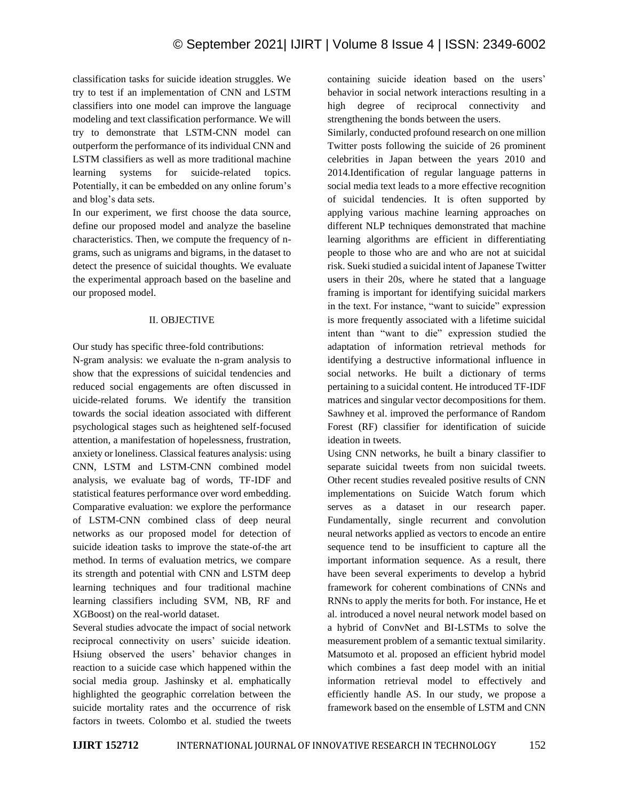classification tasks for suicide ideation struggles. We try to test if an implementation of CNN and LSTM classifiers into one model can improve the language modeling and text classification performance. We will try to demonstrate that LSTM-CNN model can outperform the performance of its individual CNN and LSTM classifiers as well as more traditional machine learning systems for suicide-related topics. Potentially, it can be embedded on any online forum's and blog's data sets.

In our experiment, we first choose the data source, define our proposed model and analyze the baseline characteristics. Then, we compute the frequency of ngrams, such as unigrams and bigrams, in the dataset to detect the presence of suicidal thoughts. We evaluate the experimental approach based on the baseline and our proposed model.

# II. OBJECTIVE

Our study has specific three-fold contributions:

N-gram analysis: we evaluate the n-gram analysis to show that the expressions of suicidal tendencies and reduced social engagements are often discussed in uicide-related forums. We identify the transition towards the social ideation associated with different psychological stages such as heightened self-focused attention, a manifestation of hopelessness, frustration, anxiety or loneliness. Classical features analysis: using CNN, LSTM and LSTM-CNN combined model analysis, we evaluate bag of words, TF-IDF and statistical features performance over word embedding. Comparative evaluation: we explore the performance of LSTM-CNN combined class of deep neural networks as our proposed model for detection of suicide ideation tasks to improve the state-of-the art method. In terms of evaluation metrics, we compare its strength and potential with CNN and LSTM deep learning techniques and four traditional machine learning classifiers including SVM, NB, RF and XGBoost) on the real-world dataset.

Several studies advocate the impact of social network reciprocal connectivity on users' suicide ideation. Hsiung observed the users' behavior changes in reaction to a suicide case which happened within the social media group. Jashinsky et al. emphatically highlighted the geographic correlation between the suicide mortality rates and the occurrence of risk factors in tweets. Colombo et al. studied the tweets

containing suicide ideation based on the users' behavior in social network interactions resulting in a high degree of reciprocal connectivity and strengthening the bonds between the users.

Similarly, conducted profound research on one million Twitter posts following the suicide of 26 prominent celebrities in Japan between the years 2010 and 2014.Identification of regular language patterns in social media text leads to a more effective recognition of suicidal tendencies. It is often supported by applying various machine learning approaches on different NLP techniques demonstrated that machine learning algorithms are efficient in differentiating people to those who are and who are not at suicidal risk. Sueki studied a suicidal intent of Japanese Twitter users in their 20s, where he stated that a language framing is important for identifying suicidal markers in the text. For instance, "want to suicide" expression is more frequently associated with a lifetime suicidal intent than "want to die" expression studied the adaptation of information retrieval methods for identifying a destructive informational influence in social networks. He built a dictionary of terms pertaining to a suicidal content. He introduced TF-IDF matrices and singular vector decompositions for them. Sawhney et al. improved the performance of Random Forest (RF) classifier for identification of suicide ideation in tweets.

Using CNN networks, he built a binary classifier to separate suicidal tweets from non suicidal tweets. Other recent studies revealed positive results of CNN implementations on Suicide Watch forum which serves as a dataset in our research paper. Fundamentally, single recurrent and convolution neural networks applied as vectors to encode an entire sequence tend to be insufficient to capture all the important information sequence. As a result, there have been several experiments to develop a hybrid framework for coherent combinations of CNNs and RNNs to apply the merits for both. For instance, He et al. introduced a novel neural network model based on a hybrid of ConvNet and BI-LSTMs to solve the measurement problem of a semantic textual similarity. Matsumoto et al. proposed an efficient hybrid model which combines a fast deep model with an initial information retrieval model to effectively and efficiently handle AS. In our study, we propose a framework based on the ensemble of LSTM and CNN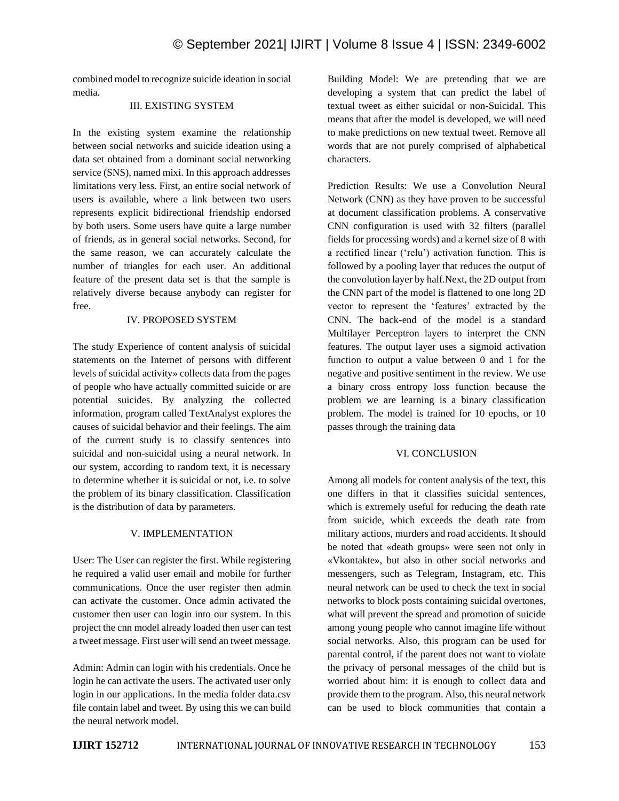combined model to recognize suicide ideation in social media.

# III. EXISTING SYSTEM

In the existing system examine the relationship between social networks and suicide ideation using a data set obtained from a dominant social networking service (SNS), named mixi. In this approach addresses limitations very less. First, an entire social network of users is available, where a link between two users represents explicit bidirectional friendship endorsed by both users. Some users have quite a large number of friends, as in general social networks. Second, for the same reason, we can accurately calculate the number of triangles for each user. An additional feature of the present data set is that the sample is relatively diverse because anybody can register for free.

#### IV. PROPOSED SYSTEM

The study Experience of content analysis of suicidal statements on the Internet of persons with different levels of suicidal activity» collects data from the pages of people who have actually committed suicide or are potential suicides. By analyzing the collected information, program called TextAnalyst explores the causes of suicidal behavior and their feelings. The aim of the current study is to classify sentences into suicidal and non-suicidal using a neural network. In our system, according to random text, it is necessary to determine whether it is suicidal or not, i.e. to solve the problem of its binary classification. Classification is the distribution of data by parameters.

# V. IMPLEMENTATION

User: The User can register the first. While registering he required a valid user email and mobile for further communications. Once the user register then admin can activate the customer. Once admin activated the customer then user can login into our system. In this project the cnn model already loaded then user can test a tweet message. First user will send an tweet message.

Admin: Admin can login with his credentials. Once he login he can activate the users. The activated user only login in our applications. In the media folder data.csv file contain label and tweet. By using this we can build the neural network model.

Building Model: We are pretending that we are developing a system that can predict the label of textual tweet as either suicidal or non-Suicidal. This means that after the model is developed, we will need to make predictions on new textual tweet. Remove all words that are not purely comprised of alphabetical characters.

Prediction Results: We use a Convolution Neural Network (CNN) as they have proven to be successful at document classification problems. A conservative CNN configuration is used with 32 filters (parallel fields for processing words) and a kernel size of 8 with a rectified linear ('relu') activation function. This is followed by a pooling layer that reduces the output of the convolution layer by half.Next, the 2D output from the CNN part of the model is flattened to one long 2D vector to represent the 'features' extracted by the CNN. The back-end of the model is a standard Multilayer Perceptron layers to interpret the CNN features. The output layer uses a sigmoid activation function to output a value between 0 and 1 for the negative and positive sentiment in the review. We use a binary cross entropy loss function because the problem we are learning is a binary classification problem. The model is trained for 10 epochs, or 10 passes through the training data

# VI. CONCLUSION

Among all models for content analysis of the text, this one differs in that it classifies suicidal sentences, which is extremely useful for reducing the death rate from suicide, which exceeds the death rate from military actions, murders and road accidents. It should be noted that «death groups» were seen not only in «Vkontakte», but also in other social networks and messengers, such as Telegram, Instagram, etc. This neural network can be used to check the text in social networks to block posts containing suicidal overtones, what will prevent the spread and promotion of suicide among young people who cannot imagine life without social networks. Also, this program can be used for parental control, if the parent does not want to violate the privacy of personal messages of the child but is worried about him: it is enough to collect data and provide them to the program. Also, this neural network can be used to block communities that contain a